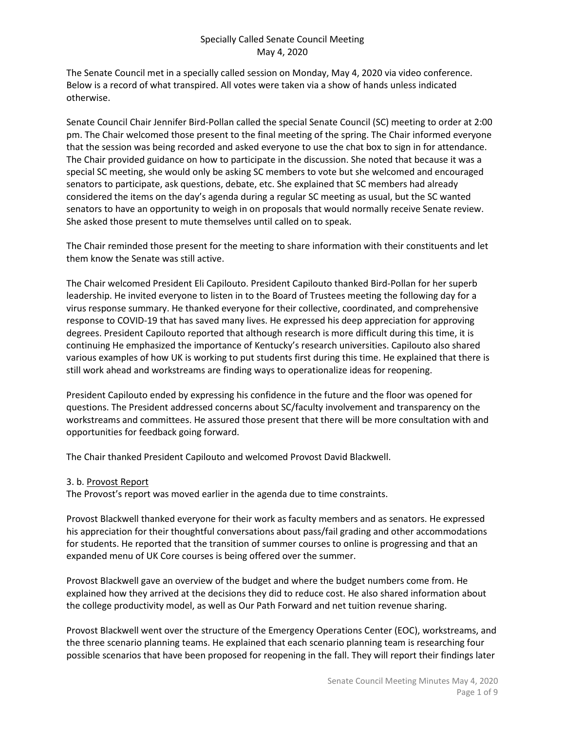The Senate Council met in a specially called session on Monday, May 4, 2020 via video conference. Below is a record of what transpired. All votes were taken via a show of hands unless indicated otherwise.

Senate Council Chair Jennifer Bird-Pollan called the special Senate Council (SC) meeting to order at 2:00 pm. The Chair welcomed those present to the final meeting of the spring. The Chair informed everyone that the session was being recorded and asked everyone to use the chat box to sign in for attendance. The Chair provided guidance on how to participate in the discussion. She noted that because it was a special SC meeting, she would only be asking SC members to vote but she welcomed and encouraged senators to participate, ask questions, debate, etc. She explained that SC members had already considered the items on the day's agenda during a regular SC meeting as usual, but the SC wanted senators to have an opportunity to weigh in on proposals that would normally receive Senate review. She asked those present to mute themselves until called on to speak.

The Chair reminded those present for the meeting to share information with their constituents and let them know the Senate was still active.

The Chair welcomed President Eli Capilouto. President Capilouto thanked Bird-Pollan for her superb leadership. He invited everyone to listen in to the Board of Trustees meeting the following day for a virus response summary. He thanked everyone for their collective, coordinated, and comprehensive response to COVID-19 that has saved many lives. He expressed his deep appreciation for approving degrees. President Capilouto reported that although research is more difficult during this time, it is continuing He emphasized the importance of Kentucky's research universities. Capilouto also shared various examples of how UK is working to put students first during this time. He explained that there is still work ahead and workstreams are finding ways to operationalize ideas for reopening.

President Capilouto ended by expressing his confidence in the future and the floor was opened for questions. The President addressed concerns about SC/faculty involvement and transparency on the workstreams and committees. He assured those present that there will be more consultation with and opportunities for feedback going forward.

The Chair thanked President Capilouto and welcomed Provost David Blackwell.

3. b. Provost Report

The Provost's report was moved earlier in the agenda due to time constraints.

Provost Blackwell thanked everyone for their work as faculty members and as senators. He expressed his appreciation for their thoughtful conversations about pass/fail grading and other accommodations for students. He reported that the transition of summer courses to online is progressing and that an expanded menu of UK Core courses is being offered over the summer.

Provost Blackwell gave an overview of the budget and where the budget numbers come from. He explained how they arrived at the decisions they did to reduce cost. He also shared information about the college productivity model, as well as Our Path Forward and net tuition revenue sharing.

Provost Blackwell went over the structure of the Emergency Operations Center (EOC), workstreams, and the three scenario planning teams. He explained that each scenario planning team is researching four possible scenarios that have been proposed for reopening in the fall. They will report their findings later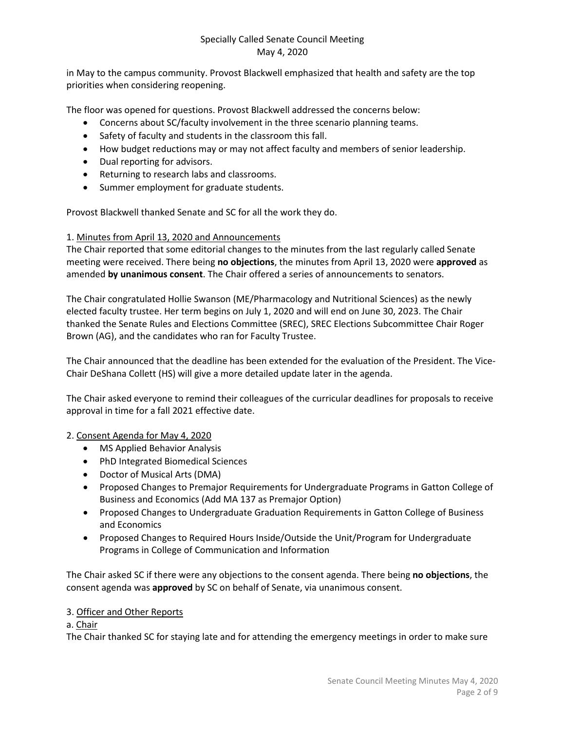in May to the campus community. Provost Blackwell emphasized that health and safety are the top priorities when considering reopening.

The floor was opened for questions. Provost Blackwell addressed the concerns below:

- Concerns about SC/faculty involvement in the three scenario planning teams.
- Safety of faculty and students in the classroom this fall.
- How budget reductions may or may not affect faculty and members of senior leadership.
- Dual reporting for advisors.
- Returning to research labs and classrooms.
- Summer employment for graduate students.

Provost Blackwell thanked Senate and SC for all the work they do.

#### 1. Minutes from April 13, 2020 and Announcements

The Chair reported that some editorial changes to the minutes from the last regularly called Senate meeting were received. There being **no objections**, the minutes from April 13, 2020 were **approved** as amended **by unanimous consent**. The Chair offered a series of announcements to senators.

The Chair congratulated Hollie Swanson (ME/Pharmacology and Nutritional Sciences) as the newly elected faculty trustee. Her term begins on July 1, 2020 and will end on June 30, 2023. The Chair thanked the Senate Rules and Elections Committee (SREC), SREC Elections Subcommittee Chair Roger Brown (AG), and the candidates who ran for Faculty Trustee.

The Chair announced that the deadline has been extended for the evaluation of the President. The Vice-Chair DeShana Collett (HS) will give a more detailed update later in the agenda.

The Chair asked everyone to remind their colleagues of the curricular deadlines for proposals to receive approval in time for a fall 2021 effective date.

#### 2. Consent Agenda for May 4, 2020

- MS Applied Behavior Analysis
- PhD Integrated Biomedical Sciences
- Doctor of Musical Arts (DMA)
- Proposed Changes to Premajor Requirements for Undergraduate Programs in Gatton College of Business and Economics (Add MA 137 as Premajor Option)
- Proposed Changes to Undergraduate Graduation Requirements in Gatton College of Business and Economics
- Proposed Changes to Required Hours Inside/Outside the Unit/Program for Undergraduate Programs in College of Communication and Information

The Chair asked SC if there were any objections to the consent agenda. There being **no objections**, the consent agenda was **approved** by SC on behalf of Senate, via unanimous consent.

#### 3. Officer and Other Reports

### a. Chair

The Chair thanked SC for staying late and for attending the emergency meetings in order to make sure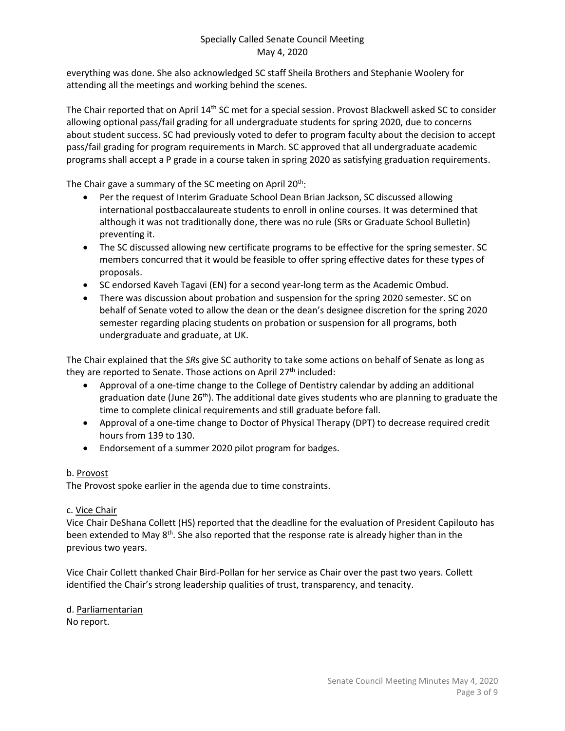everything was done. She also acknowledged SC staff Sheila Brothers and Stephanie Woolery for attending all the meetings and working behind the scenes.

The Chair reported that on April 14<sup>th</sup> SC met for a special session. Provost Blackwell asked SC to consider allowing optional pass/fail grading for all undergraduate students for spring 2020, due to concerns about student success. SC had previously voted to defer to program faculty about the decision to accept pass/fail grading for program requirements in March. SC approved that all undergraduate academic programs shall accept a P grade in a course taken in spring 2020 as satisfying graduation requirements.

The Chair gave a summary of the SC meeting on April  $20<sup>th</sup>$ :

- Per the request of Interim Graduate School Dean Brian Jackson, SC discussed allowing international postbaccalaureate students to enroll in online courses. It was determined that although it was not traditionally done, there was no rule (SRs or Graduate School Bulletin) preventing it.
- The SC discussed allowing new certificate programs to be effective for the spring semester. SC members concurred that it would be feasible to offer spring effective dates for these types of proposals.
- SC endorsed Kaveh Tagavi (EN) for a second year-long term as the Academic Ombud.
- There was discussion about probation and suspension for the spring 2020 semester. SC on behalf of Senate voted to allow the dean or the dean's designee discretion for the spring 2020 semester regarding placing students on probation or suspension for all programs, both undergraduate and graduate, at UK.

The Chair explained that the *SR*s give SC authority to take some actions on behalf of Senate as long as they are reported to Senate. Those actions on April  $27<sup>th</sup>$  included:

- Approval of a one-time change to the College of Dentistry calendar by adding an additional graduation date (June  $26<sup>th</sup>$ ). The additional date gives students who are planning to graduate the time to complete clinical requirements and still graduate before fall.
- Approval of a one-time change to Doctor of Physical Therapy (DPT) to decrease required credit hours from 139 to 130.
- Endorsement of a summer 2020 pilot program for badges.

## b. Provost

The Provost spoke earlier in the agenda due to time constraints.

## c. Vice Chair

Vice Chair DeShana Collett (HS) reported that the deadline for the evaluation of President Capilouto has been extended to May  $8<sup>th</sup>$ . She also reported that the response rate is already higher than in the previous two years.

Vice Chair Collett thanked Chair Bird-Pollan for her service as Chair over the past two years. Collett identified the Chair's strong leadership qualities of trust, transparency, and tenacity.

d. Parliamentarian No report.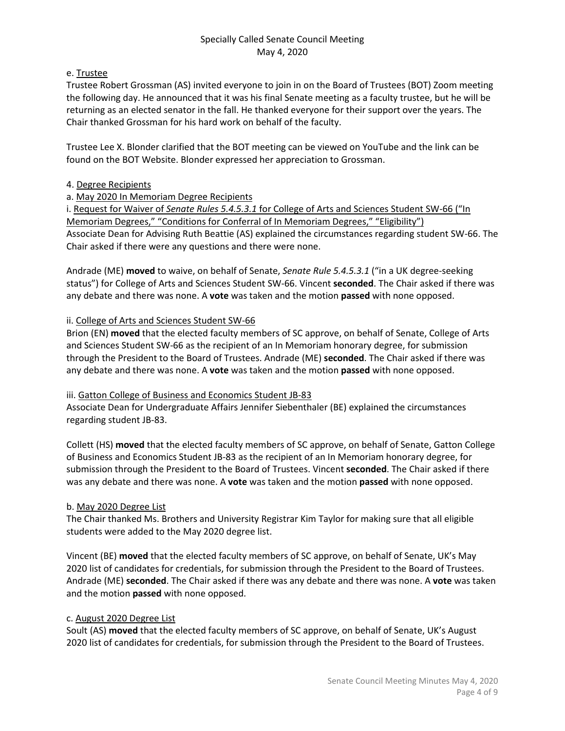### e. Trustee

Trustee Robert Grossman (AS) invited everyone to join in on the Board of Trustees (BOT) Zoom meeting the following day. He announced that it was his final Senate meeting as a faculty trustee, but he will be returning as an elected senator in the fall. He thanked everyone for their support over the years. The Chair thanked Grossman for his hard work on behalf of the faculty.

Trustee Lee X. Blonder clarified that the BOT meeting can be viewed on YouTube and the link can be found on the BOT Website. Blonder expressed her appreciation to Grossman.

### 4. Degree Recipients

## a. May 2020 In Memoriam Degree Recipients

i. Request for Waiver of *Senate Rules 5.4.5.3.1* for College of Arts and Sciences Student SW-66 ("In Memoriam Degrees," "Conditions for Conferral of In Memoriam Degrees," "Eligibility") Associate Dean for Advising Ruth Beattie (AS) explained the circumstances regarding student SW-66. The Chair asked if there were any questions and there were none.

Andrade (ME) **moved** to waive, on behalf of Senate, *Senate Rule 5.4.5.3.1* ("in a UK degree-seeking status") for College of Arts and Sciences Student SW-66. Vincent **seconded**. The Chair asked if there was any debate and there was none. A **vote** was taken and the motion **passed** with none opposed.

### ii. College of Arts and Sciences Student SW-66

Brion (EN) **moved** that the elected faculty members of SC approve, on behalf of Senate, College of Arts and Sciences Student SW-66 as the recipient of an In Memoriam honorary degree, for submission through the President to the Board of Trustees. Andrade (ME) **seconded**. The Chair asked if there was any debate and there was none. A **vote** was taken and the motion **passed** with none opposed.

#### iii. Gatton College of Business and Economics Student JB-83

Associate Dean for Undergraduate Affairs Jennifer Siebenthaler (BE) explained the circumstances regarding student JB-83.

Collett (HS) **moved** that the elected faculty members of SC approve, on behalf of Senate, Gatton College of Business and Economics Student JB-83 as the recipient of an In Memoriam honorary degree, for submission through the President to the Board of Trustees. Vincent **seconded**. The Chair asked if there was any debate and there was none. A **vote** was taken and the motion **passed** with none opposed.

## b. May 2020 Degree List

The Chair thanked Ms. Brothers and University Registrar Kim Taylor for making sure that all eligible students were added to the May 2020 degree list.

Vincent (BE) **moved** that the elected faculty members of SC approve, on behalf of Senate, UK's May 2020 list of candidates for credentials, for submission through the President to the Board of Trustees. Andrade (ME) **seconded**. The Chair asked if there was any debate and there was none. A **vote** was taken and the motion **passed** with none opposed.

#### c. August 2020 Degree List

Soult (AS) **moved** that the elected faculty members of SC approve, on behalf of Senate, UK's August 2020 list of candidates for credentials, for submission through the President to the Board of Trustees.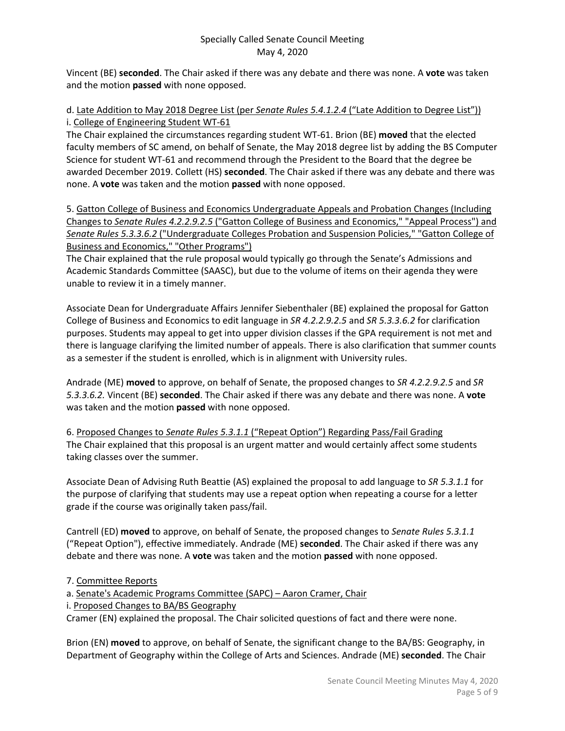Vincent (BE) **seconded**. The Chair asked if there was any debate and there was none. A **vote** was taken and the motion **passed** with none opposed.

### d. Late Addition to May 2018 Degree List (per *Senate Rules 5.4.1.2.4* ("Late Addition to Degree List")) i. College of Engineering Student WT-61

The Chair explained the circumstances regarding student WT-61. Brion (BE) **moved** that the elected faculty members of SC amend, on behalf of Senate, the May 2018 degree list by adding the BS Computer Science for student WT-61 and recommend through the President to the Board that the degree be awarded December 2019. Collett (HS) **seconded**. The Chair asked if there was any debate and there was none. A **vote** was taken and the motion **passed** with none opposed.

5. Gatton College of Business and Economics Undergraduate Appeals and Probation Changes (Including Changes to *Senate Rules 4.2.2.9.2.5* ("Gatton College of Business and Economics," "Appeal Process") and *Senate Rules 5.3.3.6.2* ("Undergraduate Colleges Probation and Suspension Policies," "Gatton College of Business and Economics," "Other Programs")

The Chair explained that the rule proposal would typically go through the Senate's Admissions and Academic Standards Committee (SAASC), but due to the volume of items on their agenda they were unable to review it in a timely manner.

Associate Dean for Undergraduate Affairs Jennifer Siebenthaler (BE) explained the proposal for Gatton College of Business and Economics to edit language in *SR 4.2.2.9.2.5* and *SR 5.3.3.6.2* for clarification purposes. Students may appeal to get into upper division classes if the GPA requirement is not met and there is language clarifying the limited number of appeals. There is also clarification that summer counts as a semester if the student is enrolled, which is in alignment with University rules.

Andrade (ME) **moved** to approve, on behalf of Senate, the proposed changes to *SR 4.2.2.9.2.5* and *SR 5.3.3.6.2.* Vincent (BE) **seconded**. The Chair asked if there was any debate and there was none. A **vote** was taken and the motion **passed** with none opposed.

6. Proposed Changes to *Senate Rules 5.3.1.1* ("Repeat Option") Regarding Pass/Fail Grading The Chair explained that this proposal is an urgent matter and would certainly affect some students taking classes over the summer.

Associate Dean of Advising Ruth Beattie (AS) explained the proposal to add language to *SR 5.3.1.1* for the purpose of clarifying that students may use a repeat option when repeating a course for a letter grade if the course was originally taken pass/fail.

Cantrell (ED) **moved** to approve, on behalf of Senate, the proposed changes to *Senate Rules 5.3.1.1* ("Repeat Option"), effective immediately. Andrade (ME) **seconded**. The Chair asked if there was any debate and there was none. A **vote** was taken and the motion **passed** with none opposed.

## 7. Committee Reports

a. Senate's Academic Programs Committee (SAPC) – Aaron Cramer, Chair

i. Proposed Changes to BA/BS Geography

Cramer (EN) explained the proposal. The Chair solicited questions of fact and there were none.

Brion (EN) **moved** to approve, on behalf of Senate, the significant change to the BA/BS: Geography, in Department of Geography within the College of Arts and Sciences. Andrade (ME) **seconded**. The Chair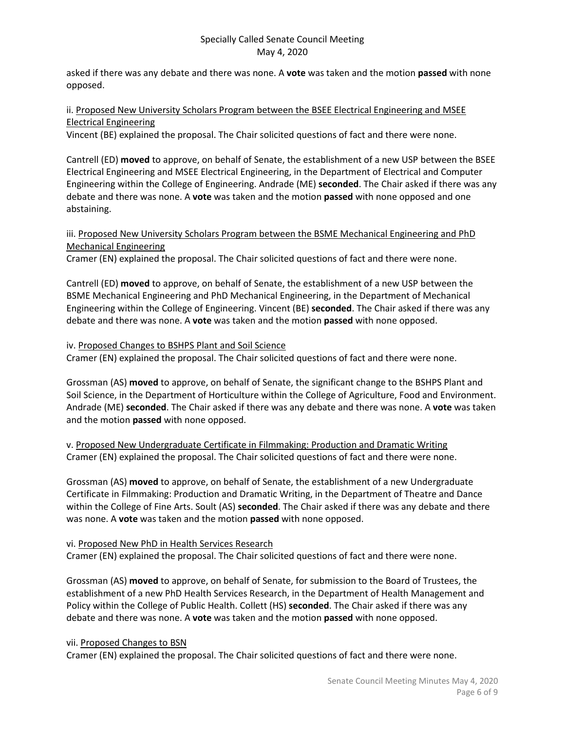asked if there was any debate and there was none. A **vote** was taken and the motion **passed** with none opposed.

## ii. Proposed New University Scholars Program between the BSEE Electrical Engineering and MSEE Electrical Engineering

Vincent (BE) explained the proposal. The Chair solicited questions of fact and there were none.

Cantrell (ED) **moved** to approve, on behalf of Senate, the establishment of a new USP between the BSEE Electrical Engineering and MSEE Electrical Engineering, in the Department of Electrical and Computer Engineering within the College of Engineering. Andrade (ME) **seconded**. The Chair asked if there was any debate and there was none. A **vote** was taken and the motion **passed** with none opposed and one abstaining.

### iii. Proposed New University Scholars Program between the BSME Mechanical Engineering and PhD Mechanical Engineering

Cramer (EN) explained the proposal. The Chair solicited questions of fact and there were none.

Cantrell (ED) **moved** to approve, on behalf of Senate, the establishment of a new USP between the BSME Mechanical Engineering and PhD Mechanical Engineering, in the Department of Mechanical Engineering within the College of Engineering. Vincent (BE) **seconded**. The Chair asked if there was any debate and there was none. A **vote** was taken and the motion **passed** with none opposed.

#### iv. Proposed Changes to BSHPS Plant and Soil Science

Cramer (EN) explained the proposal. The Chair solicited questions of fact and there were none.

Grossman (AS) **moved** to approve, on behalf of Senate, the significant change to the BSHPS Plant and Soil Science, in the Department of Horticulture within the College of Agriculture, Food and Environment. Andrade (ME) **seconded**. The Chair asked if there was any debate and there was none. A **vote** was taken and the motion **passed** with none opposed.

v. Proposed New Undergraduate Certificate in Filmmaking: Production and Dramatic Writing Cramer (EN) explained the proposal. The Chair solicited questions of fact and there were none.

Grossman (AS) **moved** to approve, on behalf of Senate, the establishment of a new Undergraduate Certificate in Filmmaking: Production and Dramatic Writing, in the Department of Theatre and Dance within the College of Fine Arts. Soult (AS) **seconded**. The Chair asked if there was any debate and there was none. A **vote** was taken and the motion **passed** with none opposed.

#### vi. Proposed New PhD in Health Services Research

Cramer (EN) explained the proposal. The Chair solicited questions of fact and there were none.

Grossman (AS) **moved** to approve, on behalf of Senate, for submission to the Board of Trustees, the establishment of a new PhD Health Services Research, in the Department of Health Management and Policy within the College of Public Health. Collett (HS) **seconded**. The Chair asked if there was any debate and there was none. A **vote** was taken and the motion **passed** with none opposed.

#### vii. Proposed Changes to BSN

Cramer (EN) explained the proposal. The Chair solicited questions of fact and there were none.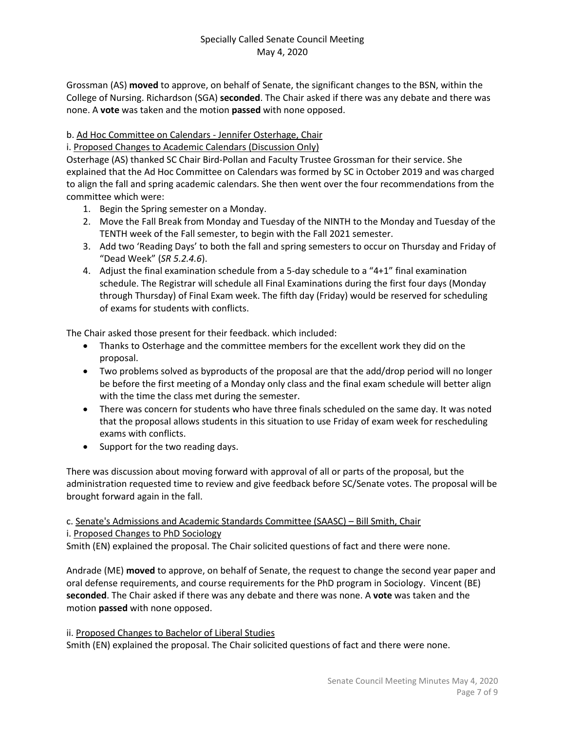Grossman (AS) **moved** to approve, on behalf of Senate, the significant changes to the BSN, within the College of Nursing. Richardson (SGA) **seconded**. The Chair asked if there was any debate and there was none. A **vote** was taken and the motion **passed** with none opposed.

## b. Ad Hoc Committee on Calendars - Jennifer Osterhage, Chair

i. Proposed Changes to Academic Calendars (Discussion Only)

Osterhage (AS) thanked SC Chair Bird-Pollan and Faculty Trustee Grossman for their service. She explained that the Ad Hoc Committee on Calendars was formed by SC in October 2019 and was charged to align the fall and spring academic calendars. She then went over the four recommendations from the committee which were:

- 1. Begin the Spring semester on a Monday.
- 2. Move the Fall Break from Monday and Tuesday of the NINTH to the Monday and Tuesday of the TENTH week of the Fall semester, to begin with the Fall 2021 semester.
- 3. Add two 'Reading Days' to both the fall and spring semesters to occur on Thursday and Friday of "Dead Week" (*SR 5.2.4.6*).
- 4. Adjust the final examination schedule from a 5-day schedule to a "4+1" final examination schedule. The Registrar will schedule all Final Examinations during the first four days (Monday through Thursday) of Final Exam week. The fifth day (Friday) would be reserved for scheduling of exams for students with conflicts.

The Chair asked those present for their feedback. which included:

- Thanks to Osterhage and the committee members for the excellent work they did on the proposal.
- Two problems solved as byproducts of the proposal are that the add/drop period will no longer be before the first meeting of a Monday only class and the final exam schedule will better align with the time the class met during the semester.
- There was concern for students who have three finals scheduled on the same day. It was noted that the proposal allows students in this situation to use Friday of exam week for rescheduling exams with conflicts.
- Support for the two reading days.

There was discussion about moving forward with approval of all or parts of the proposal, but the administration requested time to review and give feedback before SC/Senate votes. The proposal will be brought forward again in the fall.

### c. Senate's Admissions and Academic Standards Committee (SAASC) – Bill Smith, Chair i. Proposed Changes to PhD Sociology

Smith (EN) explained the proposal. The Chair solicited questions of fact and there were none.

Andrade (ME) **moved** to approve, on behalf of Senate, the request to change the second year paper and oral defense requirements, and course requirements for the PhD program in Sociology. Vincent (BE) **seconded**. The Chair asked if there was any debate and there was none. A **vote** was taken and the motion **passed** with none opposed.

ii. Proposed Changes to Bachelor of Liberal Studies Smith (EN) explained the proposal. The Chair solicited questions of fact and there were none.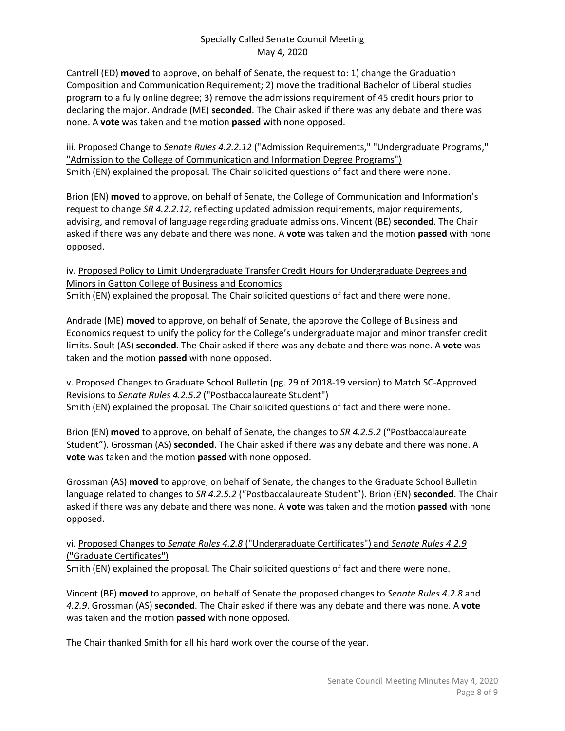Cantrell (ED) **moved** to approve, on behalf of Senate, the request to: 1) change the Graduation Composition and Communication Requirement; 2) move the traditional Bachelor of Liberal studies program to a fully online degree; 3) remove the admissions requirement of 45 credit hours prior to declaring the major. Andrade (ME) **seconded**. The Chair asked if there was any debate and there was none. A **vote** was taken and the motion **passed** with none opposed.

iii. Proposed Change to *Senate Rules 4.2.2.12* ("Admission Requirements," "Undergraduate Programs," "Admission to the College of Communication and Information Degree Programs") Smith (EN) explained the proposal. The Chair solicited questions of fact and there were none.

Brion (EN) **moved** to approve, on behalf of Senate, the College of Communication and Information's request to change *SR 4.2.2.12*, reflecting updated admission requirements, major requirements, advising, and removal of language regarding graduate admissions. Vincent (BE) **seconded**. The Chair asked if there was any debate and there was none. A **vote** was taken and the motion **passed** with none opposed.

iv. Proposed Policy to Limit Undergraduate Transfer Credit Hours for Undergraduate Degrees and Minors in Gatton College of Business and Economics Smith (EN) explained the proposal. The Chair solicited questions of fact and there were none.

Andrade (ME) **moved** to approve, on behalf of Senate, the approve the College of Business and Economics request to unify the policy for the College's undergraduate major and minor transfer credit limits. Soult (AS) **seconded**. The Chair asked if there was any debate and there was none. A **vote** was taken and the motion **passed** with none opposed.

v. Proposed Changes to Graduate School Bulletin (pg. 29 of 2018-19 version) to Match SC-Approved Revisions to *Senate Rules 4.2.5.2* ("Postbaccalaureate Student") Smith (EN) explained the proposal. The Chair solicited questions of fact and there were none.

Brion (EN) **moved** to approve, on behalf of Senate, the changes to *SR 4.2.5.2* ("Postbaccalaureate Student"). Grossman (AS) **seconded**. The Chair asked if there was any debate and there was none. A **vote** was taken and the motion **passed** with none opposed.

Grossman (AS) **moved** to approve, on behalf of Senate, the changes to the Graduate School Bulletin language related to changes to *SR 4.2.5.2* ("Postbaccalaureate Student"). Brion (EN) **seconded**. The Chair asked if there was any debate and there was none. A **vote** was taken and the motion **passed** with none opposed.

# vi. Proposed Changes to *Senate Rules 4.2.8* ("Undergraduate Certificates") and *Senate Rules 4.2.9* ("Graduate Certificates")

Smith (EN) explained the proposal. The Chair solicited questions of fact and there were none.

Vincent (BE) **moved** to approve, on behalf of Senate the proposed changes to *Senate Rules 4.2.8* and *4.2.9*. Grossman (AS) **seconded**. The Chair asked if there was any debate and there was none. A **vote** was taken and the motion **passed** with none opposed.

The Chair thanked Smith for all his hard work over the course of the year.